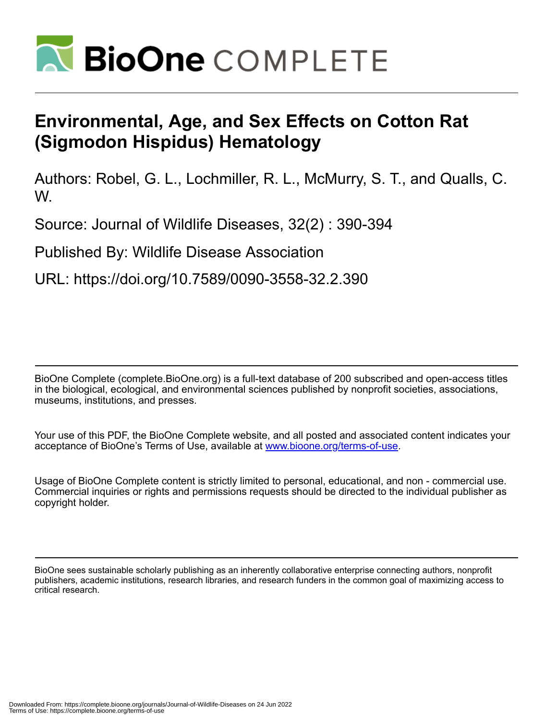

## **Environmental, Age, and Sex Effects on Cotton Rat (Sigmodon Hispidus) Hematology**

Authors: Robel, G. L., Lochmiller, R. L., McMurry, S. T., and Qualls, C. W.

Source: Journal of Wildlife Diseases, 32(2) : 390-394

Published By: Wildlife Disease Association

URL: https://doi.org/10.7589/0090-3558-32.2.390

BioOne Complete (complete.BioOne.org) is a full-text database of 200 subscribed and open-access titles in the biological, ecological, and environmental sciences published by nonprofit societies, associations, museums, institutions, and presses.

Your use of this PDF, the BioOne Complete website, and all posted and associated content indicates your acceptance of BioOne's Terms of Use, available at www.bioone.org/terms-of-use.

Usage of BioOne Complete content is strictly limited to personal, educational, and non - commercial use. Commercial inquiries or rights and permissions requests should be directed to the individual publisher as copyright holder.

BioOne sees sustainable scholarly publishing as an inherently collaborative enterprise connecting authors, nonprofit publishers, academic institutions, research libraries, and research funders in the common goal of maximizing access to critical research.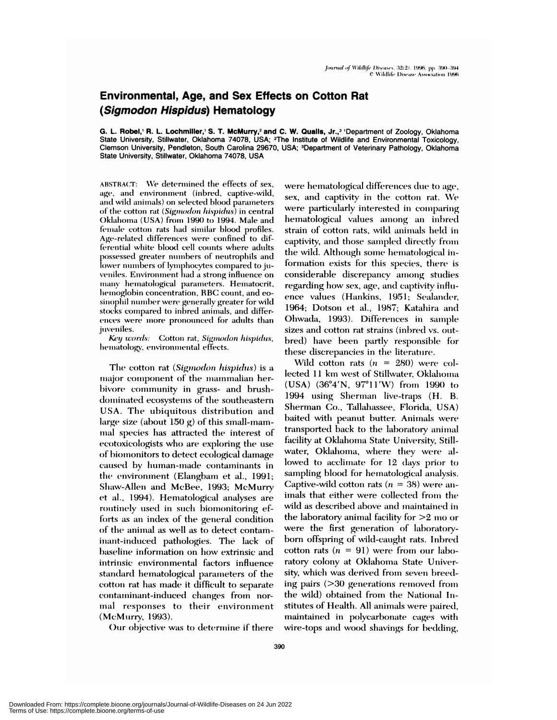## **Environmental, Age, and Sex Effects on Cotton Rat** (Sigmodon Hispidus) Hematology

G. L. Robel,' R. L. Lochmiller,' S. T. McMurry,<sup>2</sup> and C. W. Qualls, Jr.,<sup>3</sup> 'Department of Zoology, Oklahoma State University, Stillwater, Oklahoma 74078, USA; <sup>2</sup>The Institute of Wildlife and Environmental Toxicology, Clemson University, Pendleton, South Carolina 29670, USA; <sup>3</sup>Department of Veterinary Pathology, Oklahoma State University, Stillwater, Oklahoma 74078, USA

ABSTRACT: We determined the effects of sex, age, and environment (inbred, captive-wild, and wild animals) on selected blood parameters of the cotton rat (Sigmodon hispidus) in central Oklahoma (USA) from 1990 to 1994. Male and female cotton rats had similar blood profiles. Age-related differences were confined to differential white blood cell counts where adults possessed greater numbers of neutrophils and lower numbers of lymphocytes compared to juveniles. Environment had a strong influence on many hematological parameters. Hematocrit, hemoglobin concentration, RBC count, and eosinophil number were generally greater for wild stocks compared to inbred animals, and differences were more pronounced for adults than juveniles.

Key words: Cotton rat, Sigmodon hispidus, hematology, environmental effects.

The cotton rat (Sigmodon hispidus) is a major component of the mammalian herbivore community in grass- and brushdominated ecosystems of the southeastern USA. The ubiquitous distribution and large size (about 150 g) of this small-mammal species has attracted the interest of ecotoxicologists who are exploring the use of biomonitors to detect ecological damage caused by human-made contaminants in the environment (Elangbam et al., 1991; Shaw-Allen and McBee, 1993; McMurry et al., 1994). Hematological analyses are routinely used in such biomonitoring efforts as an index of the general condition of the animal as well as to detect contaminant-induced pathologies. The lack of baseline information on how extrinsic and intrinsic environmental factors influence standard hematological parameters of the cotton rat has made it difficult to separate containinant-induced changes from normal responses to their environment (McMurry, 1993).

Our objective was to determine if there

were hematological differences due to age, sex, and captivity in the cotton rat. We were particularly interested in comparing hematological values among an inbred strain of cotton rats, wild animals held in captivity, and those sampled directly from the wild. Although some hematological information exists for this species, there is considerable discrepancy among studies regarding how sex, age, and captivity influence values (Hankins, 1951; Sealander, 1964; Dotson et al., 1987; Katahira and Ohwada, 1993). Differences in sample sizes and cotton rat strains (inbred vs. outbred) have been partly responsible for these discrepancies in the literature.

Wild cotton rats  $(n = 280)$  were collected 11 km west of Stillwater, Oklahoma (USA) (36°4'N, 97°11'W) from 1990 to 1994 using Sherman live-traps (H. B. Sherman Co., Tallahassee, Florida, USA) baited with peanut butter. Animals were transported back to the laboratory animal facility at Oklahoma State University, Stillwater, Oklahoma, where they were allowed to acclimate for 12 days prior to sampling blood for hematological analysis. Captive-wild cotton rats ( $n = 38$ ) were animals that either were collected from the wild as described above and maintained in the laboratory animal facility for  $>2$  mo or were the first generation of laboratoryborn offspring of wild-caught rats. Inbred cotton rats  $(n = 91)$  were from our laboratory colony at Oklahoma State University, which was derived from seven breeding pairs (>30 generations removed from the wild) obtained from the National Institutes of Health. All animals were paired, maintained in polycarbonate cages with wire-tops and wood shavings for bedding,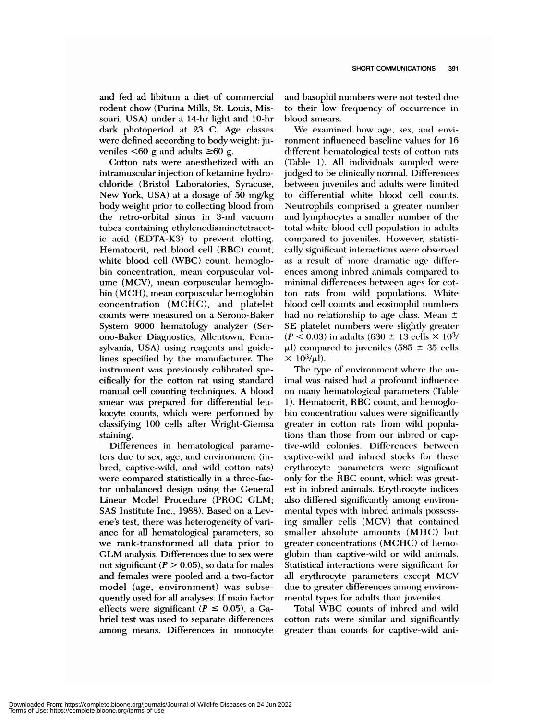and fed ad libitum a diet of commercial rodent chow (Purina Mills, St. Louis, Missouri, USA) under a 14-hr light and 10-hr dark photoperiod at 23 C. Age classes were defined according to body weight: juveniles  $\leq 60$  g and adults  $\geq 60$  g.

Cotton rats were anesthetized with an intramuscular injection of ketamine hydrochloride (Bristol Laboratories, Syracuse, New York, USA) at a dosage of 50 mg/kg body weight prior to collecting blood from the retro-orbital sinus in 3-ml vacuum tubes containing ethylenediaminetetracetic acid (EDTA-K3) to prevent clotting. Hematocrit, red blood cell (RBC) count, white blood cell (WBC) count, hemoglobin concentration, mean corpuscular vol ume (MCV), mean corpuscular hemoglobin (MCH), mean corpuscular hemoglobin concentration (MCHC), and platelet counts were measured on a Serono-Bakem System 9000 hematology analyzer (Serono-Baker Diagnostics, Allentown, Pennsylvania, USA) using reagents and guidelines specified by the manufacturer. The instrument was previously calibrated specifically for the cotton mat using standard manual cell counting techniques. A blood smear was prepared for differential leukocyte counts, which were performed by classifying 100 cells after Wright-Giemsa staining.

Differences in hematological parameters due to sex, age, and environment (inbred, captive-wild, and wild cotton rats) were compared statistically in a three-factor unbalanced design using the General Linear Model Procedure (PROC GLM; SAS Institute Inc., 1988). Based on a Levene's test, there was heterogeneity of vari ance for all hematological parameters, so we rank-transformed all data prior to GLM analysis. Differences due to sex were not significant  $(P > 0.05)$ , so data for males and females were pooled and a two-factor model (age, environment) was subsequently used for all analyses. If maim factor effects were significant  $(P \le 0.05)$ , a Gabriel test was used to separate differences among means. Differences in monocyte

and basophil numbers were not tested due to their low frequency of occurrence in blood smears.

We examined how age, sex, and environment influenced baseline values for 16 different hematological tests of cotton rats (Table 1). All individuals sampled were judged to be clinically normal. Differences between juveniles and adults were limited to differential white blood cell counts. Neutrophils counprised a greater nuunber and lymphocytes a smaller number of the total white blood cell population in adults compared to juveniles. However, statistically significant interactions were observed as a result of more dramatic age differences among inbred animals compared to minimal differences between ages for cotton rats from wild populations. White blood cell counts and eosinophil numbers had no relationship to age class. Mean  $\pm$ SE platelet numbers were slightly greater  $(P < 0.03)$  in adults (630  $\pm$  13 cells  $\times$  10<sup>3</sup>/  $\mu$ l) compared to juveniles (585  $\pm$  35 cells  $\times$  10<sup>3</sup>/µl).

The type of environment where the animal was raised had a profound influence on many hematological parameters (Table 1). Hematocrit, RBC count, and hemoglobin concentration values were significantly greater in cotton rats from wild populations than those from our inbred or captive-wild colonies. Differences between captive-wild and inbred stocks for these erythrocyte parameters were significant only for the RBC count, which was greatest in inbred animals. Erythrocyte indices also differed significantly among environmental types with inbred animals possessing smaller cells (MCV) that contained smaller absolute amounts (MHC) but greater concentrations (MCHC) of hemoglobin than captive-wild or wild animals. Statistical interactions were significant for all erythrocyte parameters except MCV due to greater differences among environmental types for adults than juveniles.

Total WBC counts of inbred and wild cotton rats were similar and significantly greater than counts for captive-wild ani-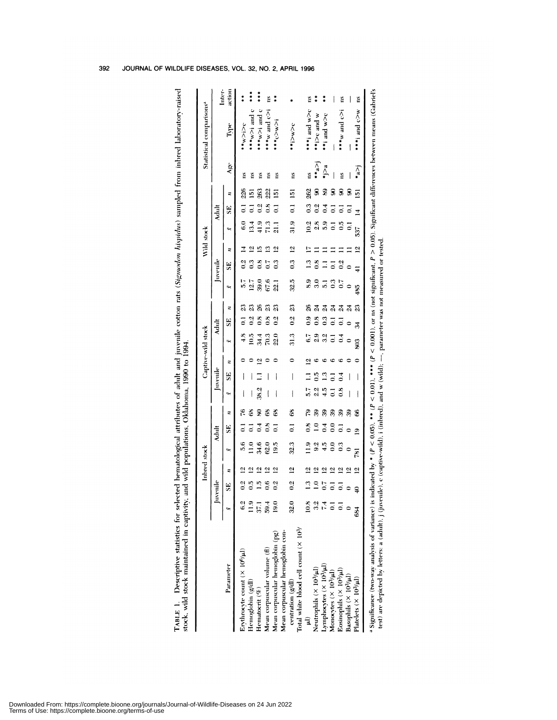|                                                                      |                |                         | Inbred stock            |                  |                      |    |                |               |                | Captive-wild stock |                |                                   |                  |                                  | Wild stock            |                   |                |                     |                  | Statistical comparisons <sup>a</sup> |                  |
|----------------------------------------------------------------------|----------------|-------------------------|-------------------------|------------------|----------------------|----|----------------|---------------|----------------|--------------------|----------------|-----------------------------------|------------------|----------------------------------|-----------------------|-------------------|----------------|---------------------|------------------|--------------------------------------|------------------|
|                                                                      |                | Juvenile                |                         |                  | <b>Adult</b>         |    |                | Juvenile      |                |                    | Adult          |                                   | Juvenile         |                                  |                       |                   | Adult          |                     |                  |                                      |                  |
| Parameter                                                            | بنها           | SE <sub></sub>          | Ξ                       | ببوا             | SE,                  | z  | ١W             | SE            | z              | يبزا               | SE,            | h,<br>z                           |                  | z<br>SE,                         |                       | بيزا              | SE             | z                   | Age              | Type                                 | Inter-<br>action |
| Erythrocyte count $(X, 10^6/\mu l)$                                  | 6.a            | 0.2                     | ⊴                       | 5.6              |                      | ۴Ć |                |               |                | æ,                 | $\overline{z}$ | Z                                 |                  | $\frac{5}{2}$                    | Ξ                     | $\ddot{6}$ .0     | ៑              | Ě<br>226            |                  | $rac{1}{2}$                          | **               |
| Hemoglobin (g/dl)                                                    | $\frac{9}{11}$ | $\frac{1}{2}$           | Σ,                      | $\frac{1}{2}$    |                      | 68 |                |               |                | $\frac{5}{10}$     | $\frac{2}{3}$  | 12.7<br>Z                         |                  | $\frac{3}{2}$                    | 으                     | 13.4              | $\overline{z}$ | Ě<br>ē              |                  | +**w>i and c                         | ***              |
| Hematocrit (%)                                                       | 37.1           | $\frac{1}{2}$           | $\vec{c}$               | 34.6             | $\frac{4}{1}$        | L  | 38.2           |               | ā              | $\frac{44}{5}$     | $\frac{8}{10}$ | 39.0<br>26                        |                  | $\frac{8}{1}$                    | ≌                     | 41.9              | 0.2            | ă<br>263            |                  | $***$ and c                          | ***              |
| Mean corpuscular volume (fl)                                         | 59.4           | 0.6                     | $\overline{a}$          | 62.0             | $\frac{8}{10}$       | 68 |                |               |                | 70.3               | $\ddot{c}$     | 67.6<br>$\mathfrak{z}$            |                  | $\overline{0}$                   | ≌                     | $\overline{7}1.3$ | $\frac{8}{2}$  | ě<br>222            |                  | $i < 5$ pure $w$ ***                 | ě                |
| Mean corpuscular hemoglobin (pg)                                     | 19.0           | $\frac{2}{3}$           | $\overline{2}$          | 19.5             | $\overline{a}$       | 68 |                |               |                | 22.0               | $\frac{2}{3}$  | 22.1<br>$\mathfrak{L}$            |                  | $\frac{3}{2}$                    | 의                     | $\frac{1}{21}$    | $\overline{0}$ | ă<br>51             |                  | +***c>w>i                            | $\ddot{\ast}$    |
| Mean corpuscular hemoglobin con-                                     |                |                         |                         |                  |                      |    |                |               |                |                    |                |                                   |                  |                                  |                       |                   |                |                     |                  |                                      |                  |
| centration (g/dl)                                                    | 32.0           | $\frac{6}{3}$           | $\overline{5}$          | 32.3             | $\overline{a}$       | 68 | ł              |               |                | 31.3               | 0.2            | 32.5<br>23                        |                  | $\overline{5}$<br>$\ddot{\circ}$ |                       | 31.9              | $\overline{0}$ | Ë<br>$\overline{5}$ |                  | 25/17                                |                  |
| Total white blood cell count (× 10 <sup>3</sup> /                    |                |                         |                         |                  |                      |    |                |               |                |                    |                |                                   |                  |                                  |                       |                   |                |                     |                  |                                      |                  |
|                                                                      | $\frac{8}{2}$  | $\mathbf{r}$            | $\overline{5}$          |                  | $\frac{8}{10}$       | ę, | 57             |               | $\overline{c}$ |                    | $\ddot{\circ}$ | 26                                | 3.9              | $\frac{3}{2}$                    |                       | 10.2              | 0.3            | ns<br>262           |                  | ***i and w>c                         | Ĕ                |
| Neutrophils $(\times 10^3/\mu l)$                                    |                | $\overline{1.0}$        | $\overline{\mathbf{c}}$ | 9.2              |                      | 3  | 2.2            | $\frac{5}{2}$ |                |                    | $\frac{8}{2}$  | $\overline{24}$                   | $\overline{3.0}$ | $\frac{8}{10}$                   |                       | 2.8               |                |                     | $\sum_{i=1}^{n}$ | **i>c and w                          | **               |
| Lymphocytes (X 10 <sup>3/</sup> µl)                                  |                | 0.7                     | 2                       | $\frac{5}{4}$    | $\ddot{0}$           | ఇ  | 4.5            | 2             |                |                    | $\frac{3}{2}$  | $\overline{5}$<br>$\overline{24}$ |                  | Ξ                                |                       | 5.9               | $\frac{4}{1}$  |                     | $\sum_{i=1}^{n}$ | **i and w>c                          | #                |
|                                                                      |                | $\overline{c}$          | $\vec{a}$               | $\tilde{c}$      | $\tilde{\mathbf{c}}$ | 39 | $\overline{a}$ |               | ٢C             |                    | ៑              | $\overline{24}$                   | $\ddot{0}$       | ៑                                |                       |                   | $\overline{c}$ |                     |                  |                                      |                  |
| Monocytes $(\times 10^3/\mu l)$<br>Eosinophils $(\times 10^3/\mu l)$ |                | $\overline{\mathsf{c}}$ | $\overline{a}$          | $\frac{3}{2}$    |                      | 39 | $\frac{8}{1}$  | $\frac{4}{1}$ | Ġ              |                    |                | $\overline{24}$                   | $\overline{0}$   | 0.2                              |                       | $\frac{5}{2}$     |                | ž<br>S              |                  | $i < 5$ pue $w$                      | Ĕ                |
| Basophils $(\times 10^3/\mu l)$                                      |                |                         | $\overline{5}$          |                  | ¢                    | 39 | I              |               |                |                    |                | $\bullet$<br>$\frac{24}{5}$       |                  |                                  |                       | 3                 | ៑              | S                   |                  |                                      |                  |
| Platelets $(\times 10^3/\mu l)$                                      | 84             | $\frac{1}{4}$           | $\overline{5}$          | $\overline{181}$ | ഉ                    | \$ |                |               |                | SOS                | $\sharp$       | 485<br>23                         |                  |                                  | 537<br>$\overline{2}$ |                   | $\overline{4}$ | 运                   | *a>i             | ***i and c>w                         | Ĕ                |

392 JOURNAL OF WILDLIFE DISEASES, VOL. 32, NO. 2, APRIL 1996

## Downloaded From: https://complete.bioone.org/journals/Journal-of-Wildlife-Diseases on 24 Jun 2022<br>Terms of Use: https://complete.bioone.org/terms-of-use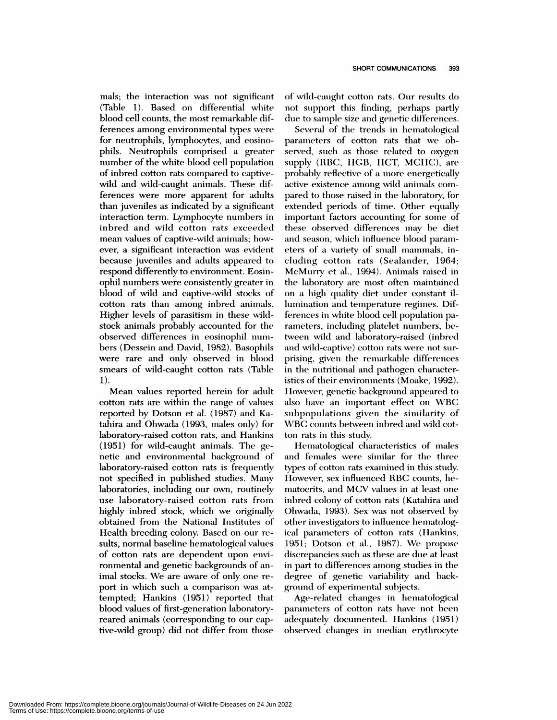mals; the interaction was not significant  $(Table 1)$ . Based on differential white blood cell counts, the most remarkable differences among environmental types were for neutrophils, lymphocytes, and eosinophils. Neutrophils comprised a greater number of the white blood cell population **of** inbred cotton mats compared to captivewild and wild-caught animals. These differences were more apparent for adults than juveniles as indicated by a significant interaction term. Lymphocyte numbers in inbred and wild cotton rats exceeded mean values of captive-wild animals; how ever, a significant interaction was evident because juveniles and adults appeared to respond differently to environment. Eosinophil numbers were consistently greater in blood of wild and captive-wild stocks of cotton rats than among inbred animals. Higher levels of parasitism in these wildstock animals probably accounted for the observed differences in eosinophil numbers (Dessein and David, 1982). Basophils were rare and only observed in blood smears of wild-caught cotton rats (Table 1).

Mean values reported herein for adult cotton mats are within the mange of values reported by Dotson et al. (1987) and Katahira and Ohwada (1993, males only) for laboratory-raised cotton rats, and Hankins  $(1951)$  for wild-caught animals. The genetic and environmental background of laboratory-raised cotton rats is frequently not specified in published studies. Many laboratories, including our own, routinely use laboratory-raised cotton rats from highly inbred stock, which we originally obtained from the National Institutes of Health breeding colony. Based on our re sults, normal baseline hematological values of cotton mats are dependent upon environmental and genetic backgrounds of animal stocks. We are aware of only one *re* port in which such a comparison was attempted; Hankins (1951) reported that blood values of first-generation laboratoryreared animals (corresponding to our captive-wild group) did not differ from those

of wild-caught cotton rats. Our results do not support this finding, perhaps partly due to sample size and genetic differences.

Several of the trends in hematological parameters of cotton rats that we observed, such as those related to oxygen supply (RBC, HGB, HCT, MCHC), are probably reflective of a more energetically active existence among wild animals com pared to those raised in the laboratory, for extended periods of time. Other equally important factors accounting for some of these observed differences may be diet and season, which influence blood parameters of a variety of small mammals, including cotton rats (Sealander, 1964; McMurry et al., 1994). Animals raised in the laboratory are most often maintained on a high quality diet under constant illumination and temperature regimes. Differences in white blood cell population parameters, including platelet numbers, between wild and laboratory-raised (inbred and wild-captive) cotton rats were not surprising, given the remarkable differences in the nutritional and pathogen characteristics of their environments (Moake, 1992). However, genetic background appeared to also have an important effect on WBC subpopulations given the similarity of WBC counts between inbred and wild cotton rats in this study.

Hematological characteristics of males and females were similar for the three types of cotton rats examined in this study. However, sex influenced RBC counts, hematocrits, and MCV values in at least one inbred colony of cotton rats (Katahira and Ohmwada, 1993). Sex was not observed by other investigators to influence hematological parameters of cotton rats (Hankins, 1951; Dotson et al., 1987). We propose discrepancies such as these are due at least in part to differences among studies in the *degree* of genetic variability and background of experimental subjects.

Age-related changes in hematological parameters of cotton rats have not been adequately documented. Hankins (1951) observed changes in median erythrocyte